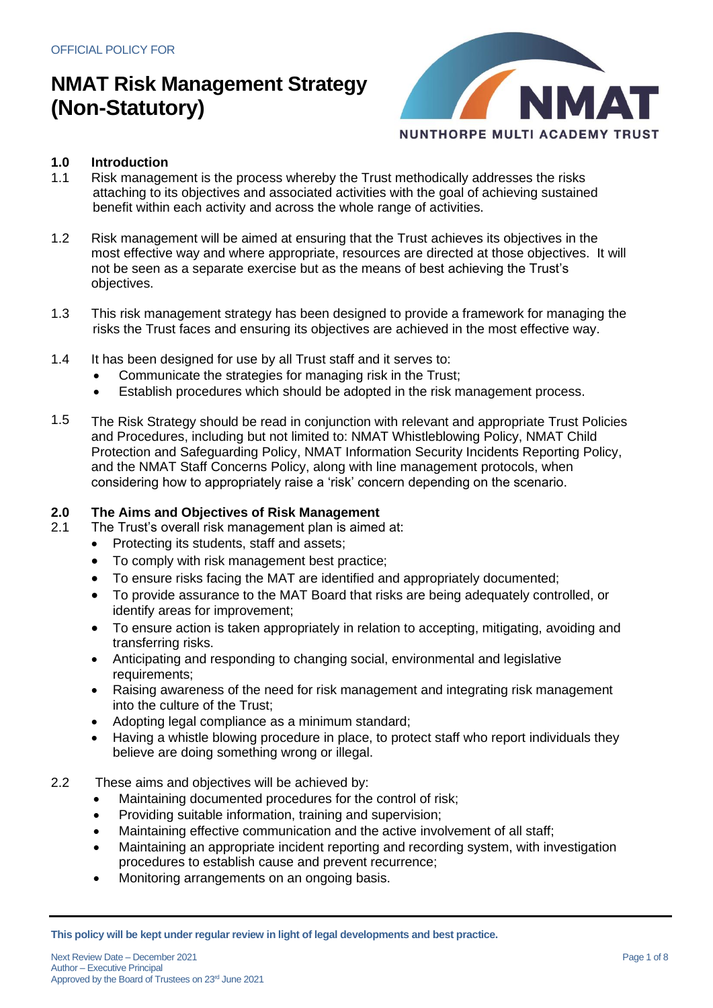

### **1.0 Introduction**

- 1.1 Risk management is the process whereby the Trust methodically addresses the risks attaching to its objectives and associated activities with the goal of achieving sustained benefit within each activity and across the whole range of activities.
- 1.2 Risk management will be aimed at ensuring that the Trust achieves its objectives in the most effective way and where appropriate, resources are directed at those objectives. It will not be seen as a separate exercise but as the means of best achieving the Trust's objectives.
- 1.3 This risk management strategy has been designed to provide a framework for managing the risks the Trust faces and ensuring its objectives are achieved in the most effective way.
- 1.4 It has been designed for use by all Trust staff and it serves to:
	- Communicate the strategies for managing risk in the Trust;
	- Establish procedures which should be adopted in the risk management process.
- 1.5 The Risk Strategy should be read in conjunction with relevant and appropriate Trust Policies and Procedures, including but not limited to: NMAT Whistleblowing Policy, NMAT Child Protection and Safeguarding Policy, NMAT Information Security Incidents Reporting Policy, and the NMAT Staff Concerns Policy, along with line management protocols, when considering how to appropriately raise a 'risk' concern depending on the scenario.

### **2.0 The Aims and Objectives of Risk Management**

- 2.1 The Trust's overall risk management plan is aimed at:
	- Protecting its students, staff and assets;
	- To comply with risk management best practice;
	- To ensure risks facing the MAT are identified and appropriately documented;
	- To provide assurance to the MAT Board that risks are being adequately controlled, or identify areas for improvement;
	- To ensure action is taken appropriately in relation to accepting, mitigating, avoiding and transferring risks.
	- Anticipating and responding to changing social, environmental and legislative requirements;
	- Raising awareness of the need for risk management and integrating risk management into the culture of the Trust;
	- Adopting legal compliance as a minimum standard;
	- Having a whistle blowing procedure in place, to protect staff who report individuals they believe are doing something wrong or illegal.
- 2.2 These aims and objectives will be achieved by:
	- Maintaining documented procedures for the control of risk;
	- Providing suitable information, training and supervision;
	- Maintaining effective communication and the active involvement of all staff;
	- Maintaining an appropriate incident reporting and recording system, with investigation procedures to establish cause and prevent recurrence;
	- Monitoring arrangements on an ongoing basis.

**This policy will be kept under regular review in light of legal developments and best practice.**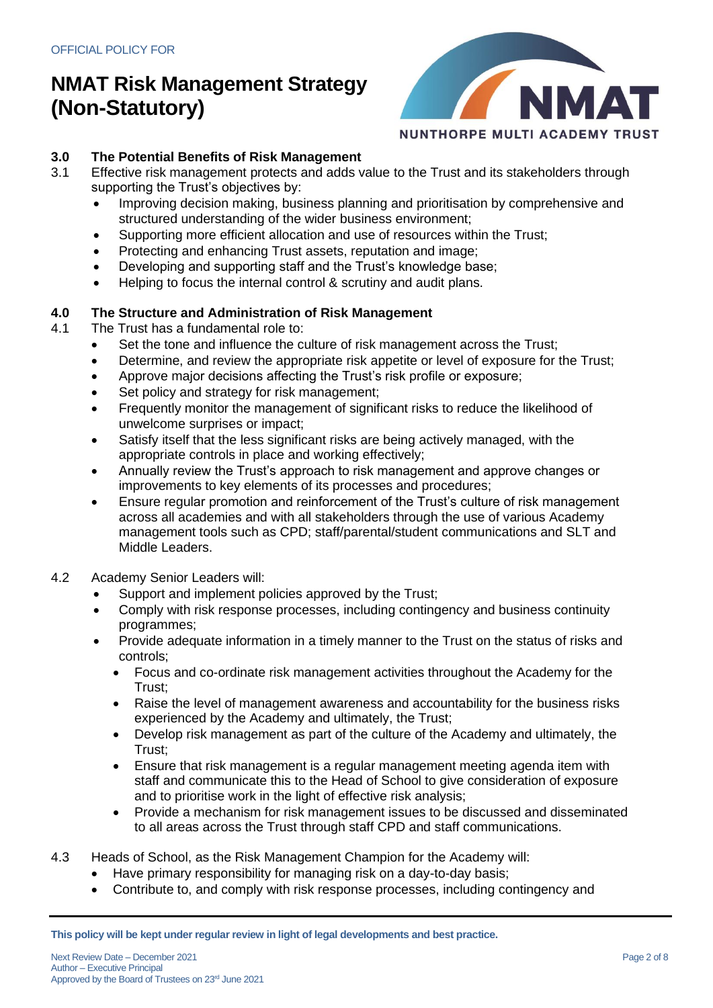

# **3.0 The Potential Benefits of Risk Management**

- Effective risk management protects and adds value to the Trust and its stakeholders through supporting the Trust's objectives by:
	- Improving decision making, business planning and prioritisation by comprehensive and structured understanding of the wider business environment;
	- Supporting more efficient allocation and use of resources within the Trust;
	- Protecting and enhancing Trust assets, reputation and image;
	- Developing and supporting staff and the Trust's knowledge base;
	- Helping to focus the internal control & scrutiny and audit plans.

# **4.0 The Structure and Administration of Risk Management**

- The Trust has a fundamental role to:
	- Set the tone and influence the culture of risk management across the Trust;
	- Determine, and review the appropriate risk appetite or level of exposure for the Trust;
	- Approve major decisions affecting the Trust's risk profile or exposure;
	- Set policy and strategy for risk management;
	- Frequently monitor the management of significant risks to reduce the likelihood of unwelcome surprises or impact;
	- Satisfy itself that the less significant risks are being actively managed, with the appropriate controls in place and working effectively;
	- Annually review the Trust's approach to risk management and approve changes or improvements to key elements of its processes and procedures;
	- Ensure regular promotion and reinforcement of the Trust's culture of risk management across all academies and with all stakeholders through the use of various Academy management tools such as CPD; staff/parental/student communications and SLT and Middle Leaders.
- 4.2 Academy Senior Leaders will:
	- Support and implement policies approved by the Trust;
	- Comply with risk response processes, including contingency and business continuity programmes;
	- Provide adequate information in a timely manner to the Trust on the status of risks and controls;
		- Focus and co-ordinate risk management activities throughout the Academy for the Trust;
		- Raise the level of management awareness and accountability for the business risks experienced by the Academy and ultimately, the Trust;
		- Develop risk management as part of the culture of the Academy and ultimately, the Trust;
		- Ensure that risk management is a regular management meeting agenda item with staff and communicate this to the Head of School to give consideration of exposure and to prioritise work in the light of effective risk analysis;
		- Provide a mechanism for risk management issues to be discussed and disseminated to all areas across the Trust through staff CPD and staff communications.
- 4.3 Heads of School, as the Risk Management Champion for the Academy will:
	- Have primary responsibility for managing risk on a day-to-day basis;
	- Contribute to, and comply with risk response processes, including contingency and

**This policy will be kept under regular review in light of legal developments and best practice.**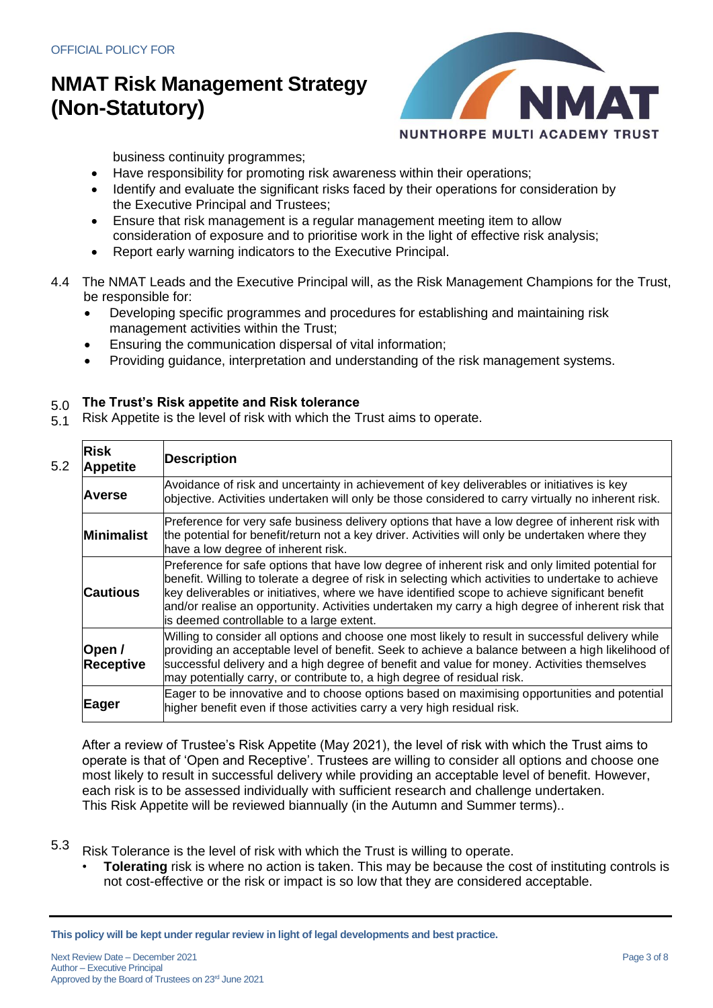

business continuity programmes;

- Have responsibility for promoting risk awareness within their operations;
- Identify and evaluate the significant risks faced by their operations for consideration by the Executive Principal and Trustees;
- Ensure that risk management is a regular management meeting item to allow consideration of exposure and to prioritise work in the light of effective risk analysis;
- Report early warning indicators to the Executive Principal.
- 4.4 The NMAT Leads and the Executive Principal will, as the Risk Management Champions for the Trust, be responsible for:
	- Developing specific programmes and procedures for establishing and maintaining risk management activities within the Trust;
	- Ensuring the communication dispersal of vital information;
	- Providing guidance, interpretation and understanding of the risk management systems.

#### 5.0 **The Trust's Risk appetite and Risk tolerance**

5.1 Risk Appetite is the level of risk with which the Trust aims to operate.

| 5.2 | Risk<br><b>Appetite</b>    | <b>Description</b>                                                                                                                                                                                                                                                                                                                                                                                                                                          |
|-----|----------------------------|-------------------------------------------------------------------------------------------------------------------------------------------------------------------------------------------------------------------------------------------------------------------------------------------------------------------------------------------------------------------------------------------------------------------------------------------------------------|
|     | <b>Averse</b>              | Avoidance of risk and uncertainty in achievement of key deliverables or initiatives is key<br>objective. Activities undertaken will only be those considered to carry virtually no inherent risk.                                                                                                                                                                                                                                                           |
|     | <b>Minimalist</b>          | Preference for very safe business delivery options that have a low degree of inherent risk with<br>the potential for benefit/return not a key driver. Activities will only be undertaken where they<br>have a low degree of inherent risk.                                                                                                                                                                                                                  |
|     | <b>Cautious</b>            | Preference for safe options that have low degree of inherent risk and only limited potential for<br>benefit. Willing to tolerate a degree of risk in selecting which activities to undertake to achieve<br>key deliverables or initiatives, where we have identified scope to achieve significant benefit<br>and/or realise an opportunity. Activities undertaken my carry a high degree of inherent risk that<br>is deemed controllable to a large extent. |
|     | Open /<br><b>Receptive</b> | Willing to consider all options and choose one most likely to result in successful delivery while<br>providing an acceptable level of benefit. Seek to achieve a balance between a high likelihood of<br>successful delivery and a high degree of benefit and value for money. Activities themselves<br>may potentially carry, or contribute to, a high degree of residual risk.                                                                            |
|     | Eager                      | Eager to be innovative and to choose options based on maximising opportunities and potential<br>higher benefit even if those activities carry a very high residual risk.                                                                                                                                                                                                                                                                                    |

After a review of Trustee's Risk Appetite (May 2021), the level of risk with which the Trust aims to operate is that of 'Open and Receptive'. Trustees are willing to consider all options and choose one most likely to result in successful delivery while providing an acceptable level of benefit. However, each risk is to be assessed individually with sufficient research and challenge undertaken. This Risk Appetite will be reviewed biannually (in the Autumn and Summer terms)..

- 5.3 Risk Tolerance is the level of risk with which the Trust is willing to operate.
	- **Tolerating** risk is where no action is taken. This may be because the cost of instituting controls is not cost-effective or the risk or impact is so low that they are considered acceptable.

**This policy will be kept under regular review in light of legal developments and best practice.**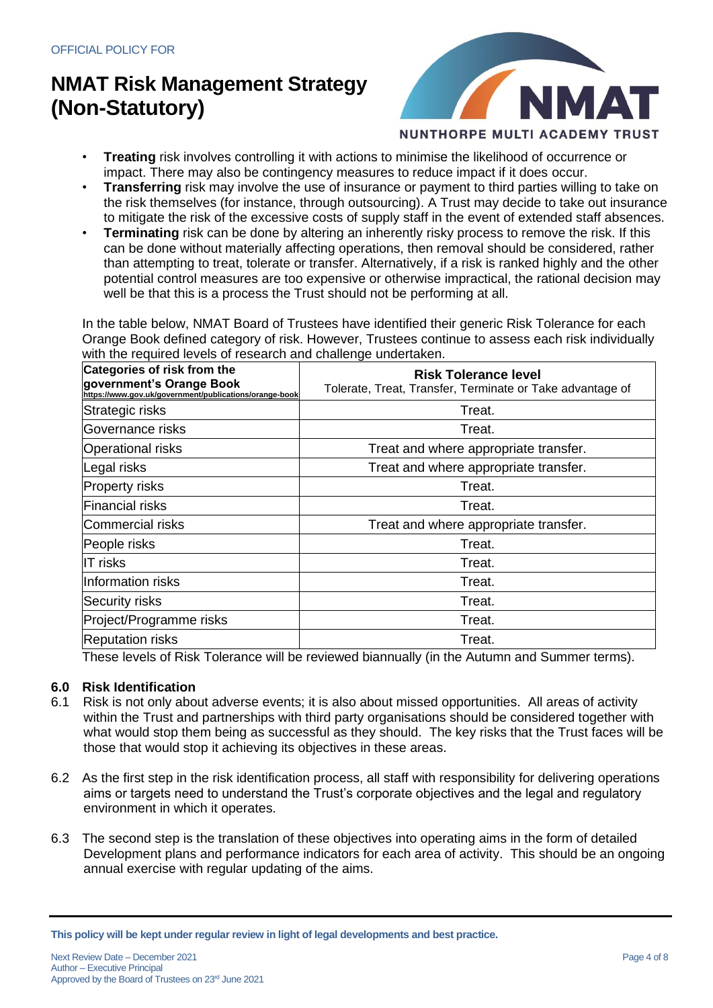

- **Treating** risk involves controlling it with actions to minimise the likelihood of occurrence or impact. There may also be contingency measures to reduce impact if it does occur.
- **Transferring** risk may involve the use of insurance or payment to third parties willing to take on the risk themselves (for instance, through outsourcing). A Trust may decide to take out insurance to mitigate the risk of the excessive costs of supply staff in the event of extended staff absences.
- **Terminating** risk can be done by altering an inherently risky process to remove the risk. If this can be done without materially affecting operations, then removal should be considered, rather than attempting to treat, tolerate or transfer. Alternatively, if a risk is ranked highly and the other potential control measures are too expensive or otherwise impractical, the rational decision may well be that this is a process the Trust should not be performing at all.

In the table below, NMAT Board of Trustees have identified their generic Risk Tolerance for each Orange Book defined category of risk. However, Trustees continue to assess each risk individually with the required levels of research and challenge undertaken.

| Categories of risk from the<br>government's Orange Book<br>https://www.gov.uk/government/publications/orange-book | <b>Risk Tolerance level</b><br>Tolerate, Treat, Transfer, Terminate or Take advantage of |  |  |
|-------------------------------------------------------------------------------------------------------------------|------------------------------------------------------------------------------------------|--|--|
| Strategic risks                                                                                                   | Treat.                                                                                   |  |  |
| Governance risks                                                                                                  | Treat.                                                                                   |  |  |
| <b>Operational risks</b>                                                                                          | Treat and where appropriate transfer.                                                    |  |  |
| Legal risks                                                                                                       | Treat and where appropriate transfer.                                                    |  |  |
| <b>Property risks</b>                                                                                             | Treat.                                                                                   |  |  |
| <b>Financial risks</b>                                                                                            | Treat.                                                                                   |  |  |
| Commercial risks                                                                                                  | Treat and where appropriate transfer.                                                    |  |  |
| People risks                                                                                                      | Treat.                                                                                   |  |  |
| <b>IT risks</b>                                                                                                   | Treat.                                                                                   |  |  |
| Information risks                                                                                                 | Treat.                                                                                   |  |  |
| Security risks                                                                                                    | Treat.                                                                                   |  |  |
| Project/Programme risks                                                                                           | Treat.                                                                                   |  |  |
| <b>Reputation risks</b>                                                                                           | Treat.                                                                                   |  |  |

These levels of Risk Tolerance will be reviewed biannually (in the Autumn and Summer terms).

### **6.0 Risk Identification**

- 6.1 Risk is not only about adverse events; it is also about missed opportunities. All areas of activity within the Trust and partnerships with third party organisations should be considered together with what would stop them being as successful as they should. The key risks that the Trust faces will be those that would stop it achieving its objectives in these areas.
- 6.2 As the first step in the risk identification process, all staff with responsibility for delivering operations aims or targets need to understand the Trust's corporate objectives and the legal and regulatory environment in which it operates.
- 6.3 The second step is the translation of these objectives into operating aims in the form of detailed Development plans and performance indicators for each area of activity. This should be an ongoing annual exercise with regular updating of the aims.

**This policy will be kept under regular review in light of legal developments and best practice.**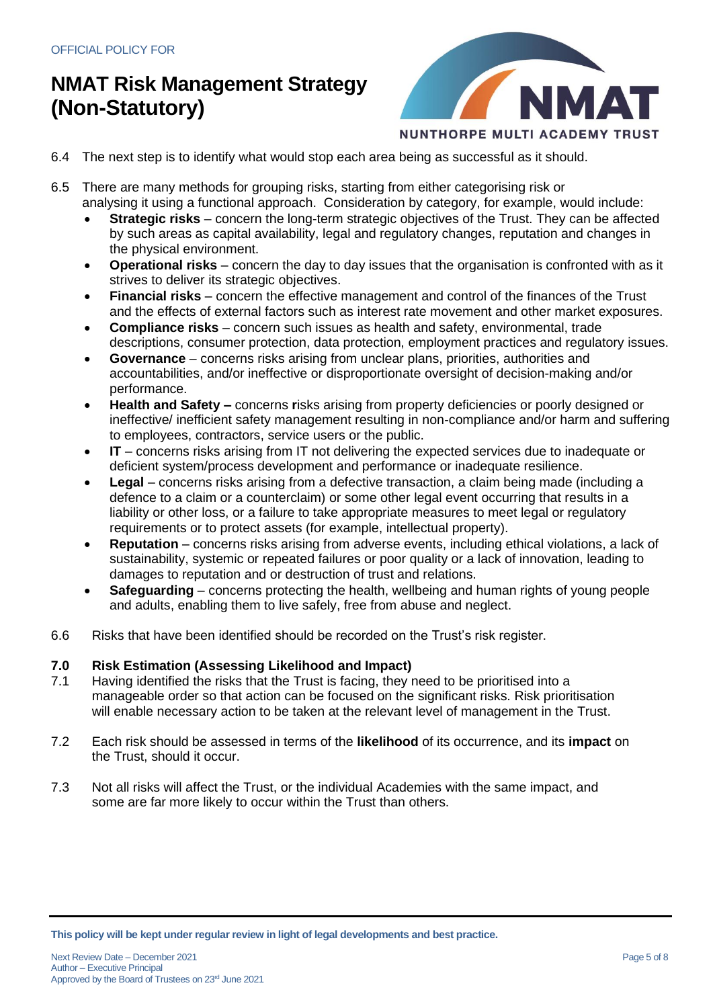

- 6.4 The next step is to identify what would stop each area being as successful as it should.
- 6.5 There are many methods for grouping risks, starting from either categorising risk or
	- analysing it using a functional approach. Consideration by category, for example, would include:
	- **Strategic risks** concern the long-term strategic objectives of the Trust. They can be affected by such areas as capital availability, legal and regulatory changes, reputation and changes in the physical environment.
	- **Operational risks**  concern the day to day issues that the organisation is confronted with as it strives to deliver its strategic objectives.
	- **Financial risks** concern the effective management and control of the finances of the Trust and the effects of external factors such as interest rate movement and other market exposures.
	- **Compliance risks** concern such issues as health and safety, environmental, trade descriptions, consumer protection, data protection, employment practices and regulatory issues.
	- **Governance**  concerns risks arising from unclear plans, priorities, authorities and accountabilities, and/or ineffective or disproportionate oversight of decision-making and/or performance.
	- **Health and Safety –** concerns **r**isks arising from property deficiencies or poorly designed or ineffective/ inefficient safety management resulting in non-compliance and/or harm and suffering to employees, contractors, service users or the public.
	- **IT** concerns risks arising from IT not delivering the expected services due to inadequate or deficient system/process development and performance or inadequate resilience.
	- **Legal** concerns risks arising from a defective transaction, a claim being made (including a defence to a claim or a counterclaim) or some other legal event occurring that results in a liability or other loss, or a failure to take appropriate measures to meet legal or regulatory requirements or to protect assets (for example, intellectual property).
	- **Reputation** concerns risks arising from adverse events, including ethical violations, a lack of sustainability, systemic or repeated failures or poor quality or a lack of innovation, leading to damages to reputation and or destruction of trust and relations.
	- **Safeguarding** concerns protecting the health, wellbeing and human rights of young people and adults, enabling them to live safely, free from abuse and neglect.
- 6.6 Risks that have been identified should be recorded on the Trust's risk register.

### **7.0 Risk Estimation (Assessing Likelihood and Impact)**

- 7.1 Having identified the risks that the Trust is facing, they need to be prioritised into a manageable order so that action can be focused on the significant risks. Risk prioritisation will enable necessary action to be taken at the relevant level of management in the Trust.
- 7.2 Each risk should be assessed in terms of the **likelihood** of its occurrence, and its **impact** on the Trust, should it occur.
- 7.3 Not all risks will affect the Trust, or the individual Academies with the same impact, and some are far more likely to occur within the Trust than others.

**This policy will be kept under regular review in light of legal developments and best practice.**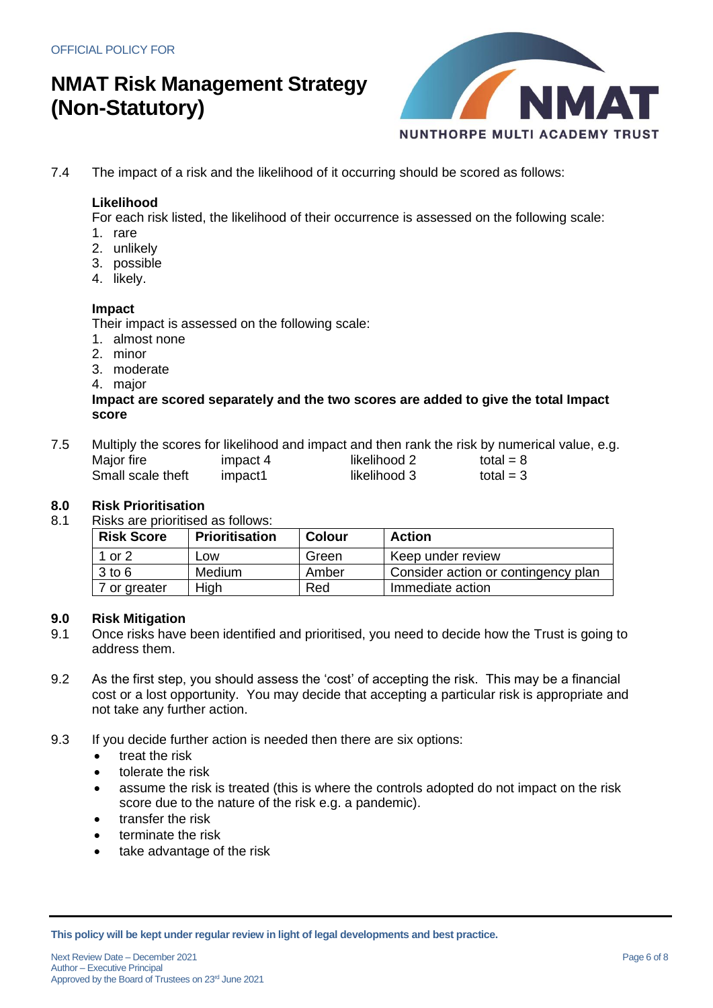

7.4 The impact of a risk and the likelihood of it occurring should be scored as follows:

### **Likelihood**

For each risk listed, the likelihood of their occurrence is assessed on the following scale:

- 1. rare
- 2. unlikely
- 3. possible
- 4. likely.

### **Impact**

Their impact is assessed on the following scale:

- 1. almost none
- 2. minor
- 3. moderate
- 4. major

### **Impact are scored separately and the two scores are added to give the total Impact score**

| 7.5 | Multiply the scores for likelihood and impact and then rank the risk by numerical value, e.g. |          |              |             |  |  |  |
|-----|-----------------------------------------------------------------------------------------------|----------|--------------|-------------|--|--|--|
|     | Major fire                                                                                    | impact 4 | likelihood 2 | total = $8$ |  |  |  |
|     | Small scale theft                                                                             | impact1  | likelihood 3 | total = $3$ |  |  |  |

### **8.0 Risk Prioritisation**

8.1 Risks are prioritised as follows:

| <b>Risk Score</b> | <b>Prioritisation</b> | Colour | <b>Action</b>                       |
|-------------------|-----------------------|--------|-------------------------------------|
| 1 or 2            | _OW                   | Green  | Keep under review                   |
| $3$ to 6          | Medium                | Amber  | Consider action or contingency plan |
| 7 or greater      | High                  | Red    | Immediate action                    |

### **9.0 Risk Mitigation**

- 9.1 Once risks have been identified and prioritised, you need to decide how the Trust is going to address them.
- 9.2 As the first step, you should assess the 'cost' of accepting the risk. This may be a financial cost or a lost opportunity. You may decide that accepting a particular risk is appropriate and not take any further action.
- 9.3 If you decide further action is needed then there are six options:
	- treat the risk
	- tolerate the risk
	- assume the risk is treated (this is where the controls adopted do not impact on the risk score due to the nature of the risk e.g. a pandemic).
	- transfer the risk
	- terminate the risk
	- take advantage of the risk

**This policy will be kept under regular review in light of legal developments and best practice.**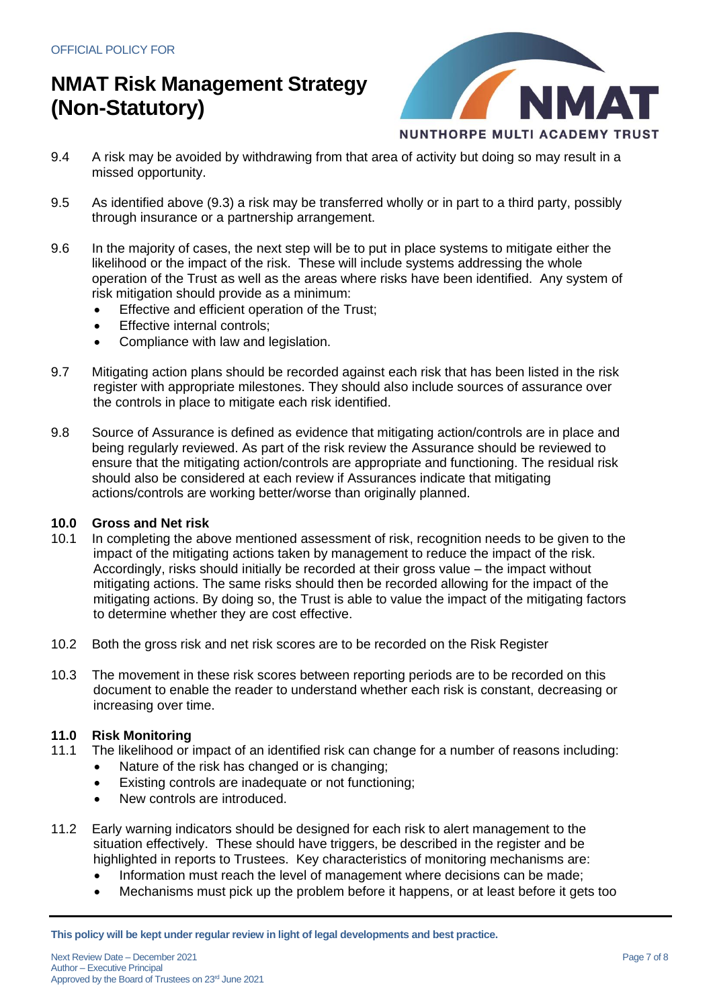

- 9.4 A risk may be avoided by withdrawing from that area of activity but doing so may result in a missed opportunity.
- 9.5 As identified above (9.3) a risk may be transferred wholly or in part to a third party, possibly through insurance or a partnership arrangement.
- 9.6 In the majority of cases, the next step will be to put in place systems to mitigate either the likelihood or the impact of the risk. These will include systems addressing the whole operation of the Trust as well as the areas where risks have been identified. Any system of risk mitigation should provide as a minimum:
	- Effective and efficient operation of the Trust;
	- Effective internal controls:
	- Compliance with law and legislation.
- 9.7 Mitigating action plans should be recorded against each risk that has been listed in the risk register with appropriate milestones. They should also include sources of assurance over the controls in place to mitigate each risk identified.
- 9.8 Source of Assurance is defined as evidence that mitigating action/controls are in place and being regularly reviewed. As part of the risk review the Assurance should be reviewed to ensure that the mitigating action/controls are appropriate and functioning. The residual risk should also be considered at each review if Assurances indicate that mitigating actions/controls are working better/worse than originally planned.

### **10.0 Gross and Net risk**

- 10.1 In completing the above mentioned assessment of risk, recognition needs to be given to the impact of the mitigating actions taken by management to reduce the impact of the risk. Accordingly, risks should initially be recorded at their gross value – the impact without mitigating actions. The same risks should then be recorded allowing for the impact of the mitigating actions. By doing so, the Trust is able to value the impact of the mitigating factors to determine whether they are cost effective.
- 10.2 Both the gross risk and net risk scores are to be recorded on the Risk Register
- 10.3 The movement in these risk scores between reporting periods are to be recorded on this document to enable the reader to understand whether each risk is constant, decreasing or increasing over time.

### **11.0 Risk Monitoring**

- 11.1 The likelihood or impact of an identified risk can change for a number of reasons including:
	- Nature of the risk has changed or is changing;
	- Existing controls are inadequate or not functioning;
	- New controls are introduced.
- 11.2 Early warning indicators should be designed for each risk to alert management to the situation effectively. These should have triggers, be described in the register and be highlighted in reports to Trustees. Key characteristics of monitoring mechanisms are:
	- Information must reach the level of management where decisions can be made;
	- Mechanisms must pick up the problem before it happens, or at least before it gets too

**This policy will be kept under regular review in light of legal developments and best practice.**